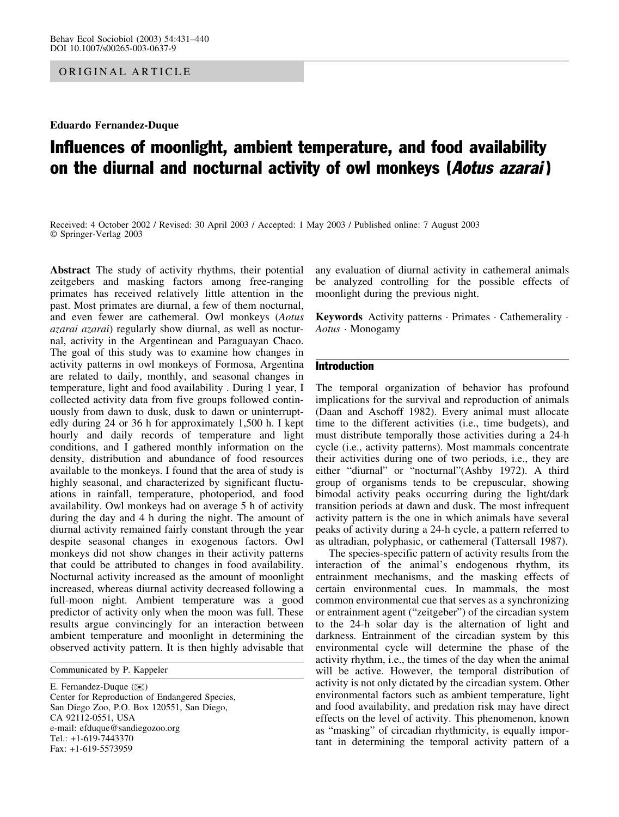ORIGINAL ARTICLE

Eduardo Fernandez-Duque

# Influences of moonlight, ambient temperature, and food availability on the diurnal and nocturnal activity of owl monkeys (Aotus azarai)

Received: 4 October 2002 / Revised: 30 April 2003 / Accepted: 1 May 2003 / Published online: 7 August 2003 Springer-Verlag 2003

Abstract The study of activity rhythms, their potential zeitgebers and masking factors among free-ranging primates has received relatively little attention in the past. Most primates are diurnal, a few of them nocturnal, and even fewer are cathemeral. Owl monkeys (Aotus azarai azarai) regularly show diurnal, as well as nocturnal, activity in the Argentinean and Paraguayan Chaco. The goal of this study was to examine how changes in activity patterns in owl monkeys of Formosa, Argentina are related to daily, monthly, and seasonal changes in temperature, light and food availability . During 1 year, I collected activity data from five groups followed continuously from dawn to dusk, dusk to dawn or uninterruptedly during 24 or 36 h for approximately 1,500 h. I kept hourly and daily records of temperature and light conditions, and I gathered monthly information on the density, distribution and abundance of food resources available to the monkeys. I found that the area of study is highly seasonal, and characterized by significant fluctuations in rainfall, temperature, photoperiod, and food availability. Owl monkeys had on average 5 h of activity during the day and 4 h during the night. The amount of diurnal activity remained fairly constant through the year despite seasonal changes in exogenous factors. Owl monkeys did not show changes in their activity patterns that could be attributed to changes in food availability. Nocturnal activity increased as the amount of moonlight increased, whereas diurnal activity decreased following a full-moon night. Ambient temperature was a good predictor of activity only when the moon was full. These results argue convincingly for an interaction between ambient temperature and moonlight in determining the observed activity pattern. It is then highly advisable that

Communicated by P. Kappeler

E. Fernandez-Duque ( $\otimes$ ) Center for Reproduction of Endangered Species, San Diego Zoo, P.O. Box 120551, San Diego, CA 92112-0551, USA e-mail: efduque@sandiegozoo.org Tel.: +1-619-7443370 Fax: +1-619-5573959

any evaluation of diurnal activity in cathemeral animals be analyzed controlling for the possible effects of moonlight during the previous night.

Keywords Activity patterns · Primates · Cathemerality · Aotus · Monogamy

# Introduction

The temporal organization of behavior has profound implications for the survival and reproduction of animals (Daan and Aschoff 1982). Every animal must allocate time to the different activities (i.e., time budgets), and must distribute temporally those activities during a 24-h cycle (i.e., activity patterns). Most mammals concentrate their activities during one of two periods, i.e., they are either "diurnal" or "nocturnal"(Ashby 1972). A third group of organisms tends to be crepuscular, showing bimodal activity peaks occurring during the light/dark transition periods at dawn and dusk. The most infrequent activity pattern is the one in which animals have several peaks of activity during a 24-h cycle, a pattern referred to as ultradian, polyphasic, or cathemeral (Tattersall 1987).

The species-specific pattern of activity results from the interaction of the animal's endogenous rhythm, its entrainment mechanisms, and the masking effects of certain environmental cues. In mammals, the most common environmental cue that serves as a synchronizing or entrainment agent ("zeitgeber") of the circadian system to the 24-h solar day is the alternation of light and darkness. Entrainment of the circadian system by this environmental cycle will determine the phase of the activity rhythm, i.e., the times of the day when the animal will be active. However, the temporal distribution of activity is not only dictated by the circadian system. Other environmental factors such as ambient temperature, light and food availability, and predation risk may have direct effects on the level of activity. This phenomenon, known as "masking" of circadian rhythmicity, is equally important in determining the temporal activity pattern of a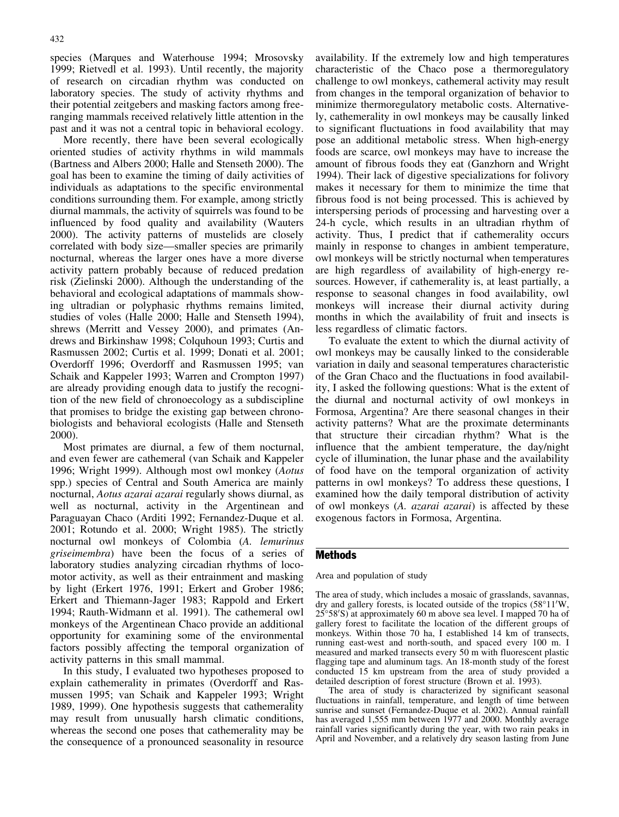species (Marques and Waterhouse 1994; Mrosovsky 1999; Rietvedl et al. 1993). Until recently, the majority of research on circadian rhythm was conducted on laboratory species. The study of activity rhythms and their potential zeitgebers and masking factors among freeranging mammals received relatively little attention in the past and it was not a central topic in behavioral ecology.

More recently, there have been several ecologically oriented studies of activity rhythms in wild mammals (Bartness and Albers 2000; Halle and Stenseth 2000). The goal has been to examine the timing of daily activities of individuals as adaptations to the specific environmental conditions surrounding them. For example, among strictly diurnal mammals, the activity of squirrels was found to be influenced by food quality and availability (Wauters 2000). The activity patterns of mustelids are closely correlated with body size—smaller species are primarily nocturnal, whereas the larger ones have a more diverse activity pattern probably because of reduced predation risk (Zielinski 2000). Although the understanding of the behavioral and ecological adaptations of mammals showing ultradian or polyphasic rhythms remains limited, studies of voles (Halle 2000; Halle and Stenseth 1994), shrews (Merritt and Vessey 2000), and primates (Andrews and Birkinshaw 1998; Colquhoun 1993; Curtis and Rasmussen 2002; Curtis et al. 1999; Donati et al. 2001; Overdorff 1996; Overdorff and Rasmussen 1995; van Schaik and Kappeler 1993; Warren and Crompton 1997) are already providing enough data to justify the recognition of the new field of chronoecology as a subdiscipline that promises to bridge the existing gap between chronobiologists and behavioral ecologists (Halle and Stenseth 2000).

Most primates are diurnal, a few of them nocturnal, and even fewer are cathemeral (van Schaik and Kappeler 1996; Wright 1999). Although most owl monkey (Aotus spp.) species of Central and South America are mainly nocturnal, Aotus azarai azarai regularly shows diurnal, as well as nocturnal, activity in the Argentinean and Paraguayan Chaco (Arditi 1992; Fernandez-Duque et al. 2001; Rotundo et al. 2000; Wright 1985). The strictly nocturnal owl monkeys of Colombia (A. lemurinus griseimembra) have been the focus of a series of laboratory studies analyzing circadian rhythms of locomotor activity, as well as their entrainment and masking by light (Erkert 1976, 1991; Erkert and Grober 1986; Erkert and Thiemann-Jager 1983; Rappold and Erkert 1994; Rauth-Widmann et al. 1991). The cathemeral owl monkeys of the Argentinean Chaco provide an additional opportunity for examining some of the environmental factors possibly affecting the temporal organization of activity patterns in this small mammal.

In this study, I evaluated two hypotheses proposed to explain cathemerality in primates (Overdorff and Rasmussen 1995; van Schaik and Kappeler 1993; Wright 1989, 1999). One hypothesis suggests that cathemerality may result from unusually harsh climatic conditions, whereas the second one poses that cathemerality may be the consequence of a pronounced seasonality in resource

availability. If the extremely low and high temperatures characteristic of the Chaco pose a thermoregulatory challenge to owl monkeys, cathemeral activity may result from changes in the temporal organization of behavior to minimize thermoregulatory metabolic costs. Alternatively, cathemerality in owl monkeys may be causally linked to significant fluctuations in food availability that may pose an additional metabolic stress. When high-energy foods are scarce, owl monkeys may have to increase the amount of fibrous foods they eat (Ganzhorn and Wright 1994). Their lack of digestive specializations for folivory makes it necessary for them to minimize the time that fibrous food is not being processed. This is achieved by interspersing periods of processing and harvesting over a 24-h cycle, which results in an ultradian rhythm of activity. Thus, I predict that if cathemerality occurs mainly in response to changes in ambient temperature, owl monkeys will be strictly nocturnal when temperatures are high regardless of availability of high-energy resources. However, if cathemerality is, at least partially, a response to seasonal changes in food availability, owl monkeys will increase their diurnal activity during months in which the availability of fruit and insects is less regardless of climatic factors.

To evaluate the extent to which the diurnal activity of owl monkeys may be causally linked to the considerable variation in daily and seasonal temperatures characteristic of the Gran Chaco and the fluctuations in food availability, I asked the following questions: What is the extent of the diurnal and nocturnal activity of owl monkeys in Formosa, Argentina? Are there seasonal changes in their activity patterns? What are the proximate determinants that structure their circadian rhythm? What is the influence that the ambient temperature, the day/night cycle of illumination, the lunar phase and the availability of food have on the temporal organization of activity patterns in owl monkeys? To address these questions, I examined how the daily temporal distribution of activity of owl monkeys (A. azarai azarai) is affected by these exogenous factors in Formosa, Argentina.

# Methods

#### Area and population of study

The area of study, which includes a mosaic of grasslands, savannas, dry and gallery forests, is located outside of the tropics (58°11'W, 25°58'S) at approximately 60 m above sea level. I mapped 70 ha of gallery forest to facilitate the location of the different groups of monkeys. Within those 70 ha, I established 14 km of transects, running east-west and north-south, and spaced every 100 m. I measured and marked transects every 50 m with fluorescent plastic flagging tape and aluminum tags. An 18-month study of the forest conducted 15 km upstream from the area of study provided a detailed description of forest structure (Brown et al. 1993).

The area of study is characterized by significant seasonal fluctuations in rainfall, temperature, and length of time between sunrise and sunset (Fernandez-Duque et al. 2002). Annual rainfall has averaged 1,555 mm between 1977 and 2000. Monthly average rainfall varies significantly during the year, with two rain peaks in April and November, and a relatively dry season lasting from June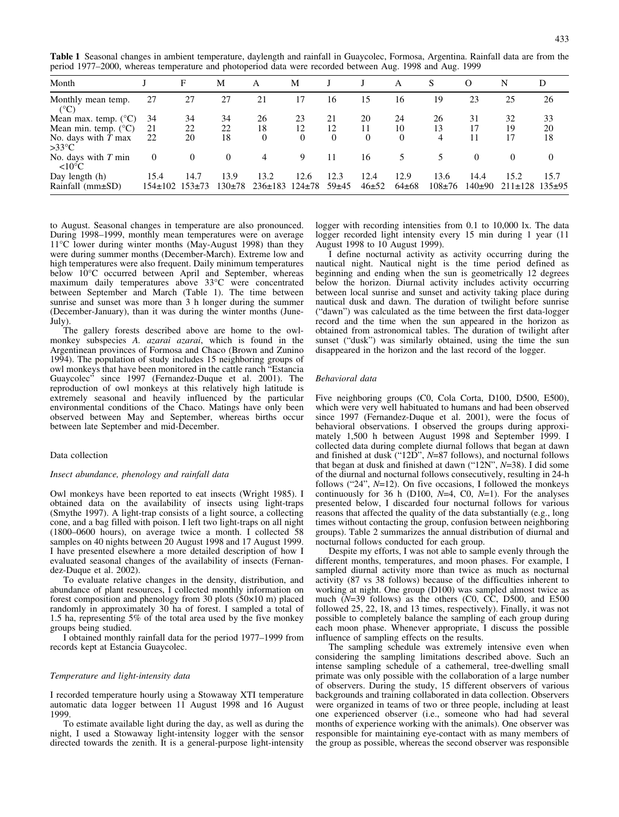Table 1 Seasonal changes in ambient temperature, daylength and rainfall in Guaycolec, Formosa, Argentina. Rainfall data are from the period 1977–2000, whereas temperature and photoperiod data were recorded between Aug. 1998 and Aug. 1999

| Month                                    |               | F        | М           | А             | М            |          |          | Α           | S          | $\Omega$ | N                      | D    |
|------------------------------------------|---------------|----------|-------------|---------------|--------------|----------|----------|-------------|------------|----------|------------------------|------|
| Monthly mean temp.<br>$(^{\circ}C)$      | 27            | 27       | 27          | 21            | 17           | 16       | 15       | 16          | 19         | 23       | 25                     | 26   |
| Mean max. temp. $(^{\circ}C)$            | 34            | 34       | 34          | 26            | 23           | 21       | 20       | 24          | 26         | 31       | 32                     | 33   |
| Mean min. temp. $(^{\circ}C)$            | 21            | 22       | 22          | 18            | 12           | 12       | 11       | 10          | 13         |          | 19                     | 20   |
| No. days with $T$ max<br>$>33^{\circ}C$  | 22            | 20       | 18          | $\theta$      | $\theta$     | $\theta$ | $\theta$ | $\theta$    | 4          | 11       | 17                     | 18   |
| No. days with $T$ min<br>$<10^{\circ}$ C | $\Omega$      | $\theta$ | $\Omega$    | 4             | 9            | 11       | 16       | 5           |            | 0        | 0                      | 0    |
| Day length (h)                           | 15.4          | 14.7     | 13.9        | 13.2          | 12.6         | 12.3     | 12.4     | 12.9        | 13.6       | 14.4     | 15.2                   | 15.7 |
| Rainfall $(mm \pm SD)$                   | $154 \pm 102$ | $153+73$ | $130\pm 78$ | $236 \pm 183$ | $124 \pm 78$ | $59+45$  | $46+52$  | $64 \pm 68$ | $108 + 76$ | $140+90$ | $211\pm128$ $135\pm95$ |      |

to August. Seasonal changes in temperature are also pronounced. During 1998–1999, monthly mean temperatures were on average 11°C lower during winter months (May-August 1998) than they were during summer months (December-March). Extreme low and high temperatures were also frequent. Daily minimum temperatures below 10°C occurred between April and September, whereas maximum daily temperatures above 33°C were concentrated between September and March (Table 1). The time between sunrise and sunset was more than 3 h longer during the summer (December-January), than it was during the winter months (June-July).

The gallery forests described above are home to the owlmonkey subspecies A. *azarai azarai*, which is found in the Argentinean provinces of Formosa and Chaco (Brown and Zunino 1994). The population of study includes 15 neighboring groups of owl monkeys that have been monitored in the cattle ranch "Estancia Guaycolec<sup>3</sup> since 1997 (Fernandez-Duque et al. 2001). The reproduction of owl monkeys at this relatively high latitude is extremely seasonal and heavily influenced by the particular environmental conditions of the Chaco. Matings have only been observed between May and September, whereas births occur between late September and mid-December.

#### Data collection

#### Insect abundance, phenology and rainfall data

Owl monkeys have been reported to eat insects (Wright 1985). I obtained data on the availability of insects using light-traps (Smythe 1997). A light-trap consists of a light source, a collecting cone, and a bag filled with poison. I left two light-traps on all night (1800–0600 hours), on average twice a month. I collected 58 samples on 40 nights between 20 August 1998 and 17 August 1999. I have presented elsewhere a more detailed description of how I evaluated seasonal changes of the availability of insects (Fernandez-Duque et al. 2002).

To evaluate relative changes in the density, distribution, and abundance of plant resources, I collected monthly information on forest composition and phenology from 30 plots  $(50\times10 \text{ m})$  placed randomly in approximately 30 ha of forest. I sampled a total of 1.5 ha, representing 5% of the total area used by the five monkey groups being studied.

I obtained monthly rainfall data for the period 1977–1999 from records kept at Estancia Guaycolec.

#### Temperature and light-intensity data

I recorded temperature hourly using a Stowaway XTI temperature automatic data logger between 11 August 1998 and 16 August 1999.

To estimate available light during the day, as well as during the night, I used a Stowaway light-intensity logger with the sensor directed towards the zenith. It is a general-purpose light-intensity

logger with recording intensities from 0.1 to 10,000 lx. The data logger recorded light intensity every 15 min during 1 year (11 August 1998 to 10 August 1999).

I define nocturnal activity as activity occurring during the nautical night. Nautical night is the time period defined as beginning and ending when the sun is geometrically 12 degrees below the horizon. Diurnal activity includes activity occurring between local sunrise and sunset and activity taking place during nautical dusk and dawn. The duration of twilight before sunrise ("dawn") was calculated as the time between the first data-logger record and the time when the sun appeared in the horizon as obtained from astronomical tables. The duration of twilight after sunset ("dusk") was similarly obtained, using the time the sun disappeared in the horizon and the last record of the logger.

#### Behavioral data

Five neighboring groups (C0, Cola Corta, D100, D500, E500), which were very well habituated to humans and had been observed since 1997 (Fernandez-Duque et al. 2001), were the focus of behavioral observations. I observed the groups during approximately 1,500 h between August 1998 and September 1999. I collected data during complete diurnal follows that began at dawn and finished at dusk ("12D",  $N=87$  follows), and nocturnal follows that began at dusk and finished at dawn ("12N", N=38). I did some of the diurnal and nocturnal follows consecutively, resulting in 24-h follows ("24", N=12). On five occasions, I followed the monkeys continuously for 36 h (D100,  $N=4$ , C0,  $N=1$ ). For the analyses presented below, I discarded four nocturnal follows for various reasons that affected the quality of the data substantially (e.g., long times without contacting the group, confusion between neighboring groups). Table 2 summarizes the annual distribution of diurnal and nocturnal follows conducted for each group.

Despite my efforts, I was not able to sample evenly through the different months, temperatures, and moon phases. For example, I sampled diurnal activity more than twice as much as nocturnal activity (87 vs 38 follows) because of the difficulties inherent to working at night. One group (D100) was sampled almost twice as much  $(N=39$  follows) as the others  $(C0, \overline{CC}, \overline{D500}, \overline{C})$  and E500 followed 25, 22, 18, and 13 times, respectively). Finally, it was not possible to completely balance the sampling of each group during each moon phase. Whenever appropriate, I discuss the possible influence of sampling effects on the results.

The sampling schedule was extremely intensive even when considering the sampling limitations described above. Such an intense sampling schedule of a cathemeral, tree-dwelling small primate was only possible with the collaboration of a large number of observers. During the study, 15 different observers of various backgrounds and training collaborated in data collection. Observers were organized in teams of two or three people, including at least one experienced observer (i.e., someone who had had several months of experience working with the animals). One observer was responsible for maintaining eye-contact with as many members of the group as possible, whereas the second observer was responsible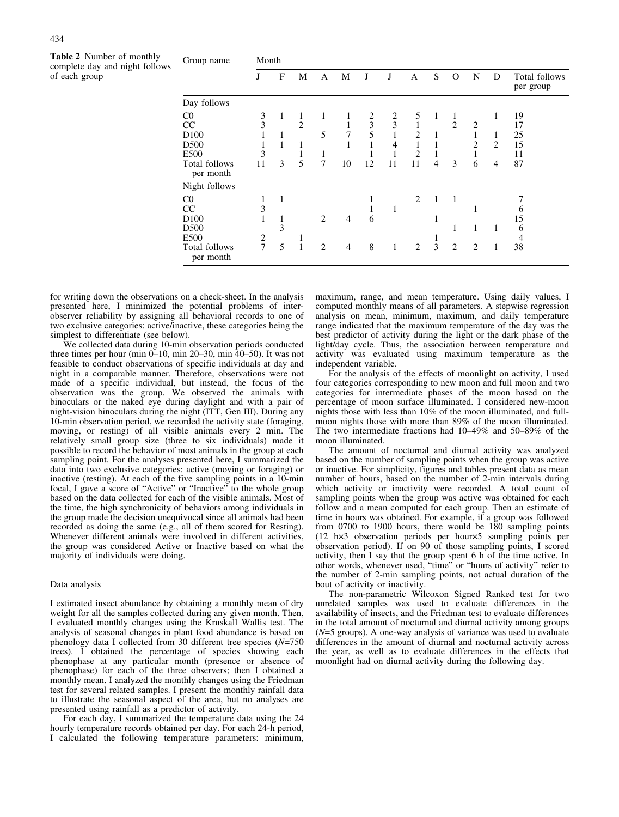Table 2 Number of monthly complete day and night follows of each group

| Group name                                                                          | Month                        |                  |                                    |                               |                                  |                   |                                          |                                                     |                               |                          |                               |                               |                                  |
|-------------------------------------------------------------------------------------|------------------------------|------------------|------------------------------------|-------------------------------|----------------------------------|-------------------|------------------------------------------|-----------------------------------------------------|-------------------------------|--------------------------|-------------------------------|-------------------------------|----------------------------------|
|                                                                                     | J                            | F                | M                                  | A                             | М                                | J                 | J                                        | A                                                   | S                             | O                        | N                             | D                             | Total follows<br>per group       |
| Day follows                                                                         |                              |                  |                                    |                               |                                  |                   |                                          |                                                     |                               |                          |                               |                               |                                  |
| $_{\rm C0}$<br>CC<br>D <sub>100</sub><br>D500<br>E500<br>Total follows<br>per month | 3<br>3<br>3<br>11            | 1<br>1<br>1<br>3 | 1<br>$\overline{2}$<br>1<br>1<br>5 | 1<br>5<br>1<br>$\overline{7}$ | 1<br>7<br>1<br>10                | 2<br>3<br>5<br>12 | 2<br>3<br>1<br>$\overline{4}$<br>1<br>11 | 5<br>$\mathbf{1}$<br>2<br>1<br>$\overline{2}$<br>11 | 1<br>1<br>1<br>$\overline{4}$ | 1<br>$\overline{c}$<br>3 | $\overline{2}$<br>2<br>1<br>6 | 1<br>1<br>$\overline{c}$<br>4 | 19<br>17<br>25<br>15<br>11<br>87 |
| Night follows                                                                       |                              |                  |                                    |                               |                                  |                   |                                          |                                                     |                               |                          |                               |                               |                                  |
| $_{\rm CO}$<br>CC<br>D <sub>100</sub><br>D500<br>E500<br>Total follows<br>per month | 1<br>3<br>1<br>$\frac{2}{7}$ | 1<br>1<br>3<br>5 |                                    | 2<br>$\overline{2}$           | $\overline{4}$<br>$\overline{4}$ | ı<br>1<br>6<br>8  | 1<br>1                                   | 2<br>2                                              | 1<br>1<br>3                   | $\overline{1}$<br>1<br>2 | 1<br>$\overline{2}$           | 1<br>1                        | 6<br>15<br>6<br>4<br>38          |

for writing down the observations on a check-sheet. In the analysis presented here, I minimized the potential problems of interobserver reliability by assigning all behavioral records to one of two exclusive categories: active/inactive, these categories being the simplest to differentiate (see below).

We collected data during 10-min observation periods conducted three times per hour (min  $0-10$ , min  $20-30$ , min  $40-50$ ). It was not feasible to conduct observations of specific individuals at day and night in a comparable manner. Therefore, observations were not made of a specific individual, but instead, the focus of the observation was the group. We observed the animals with binoculars or the naked eye during daylight and with a pair of night-vision binoculars during the night (ITT, Gen III). During any 10-min observation period, we recorded the activity state (foraging, moving, or resting) of all visible animals every 2 min. The relatively small group size (three to six individuals) made it possible to record the behavior of most animals in the group at each sampling point. For the analyses presented here, I summarized the data into two exclusive categories: active (moving or foraging) or inactive (resting). At each of the five sampling points in a 10-min focal, I gave a score of "Active" or "Inactive" to the whole group based on the data collected for each of the visible animals. Most of the time, the high synchronicity of behaviors among individuals in the group made the decision unequivocal since all animals had been recorded as doing the same (e.g., all of them scored for Resting). Whenever different animals were involved in different activities, the group was considered Active or Inactive based on what the majority of individuals were doing.

#### Data analysis

I estimated insect abundance by obtaining a monthly mean of dry weight for all the samples collected during any given month. Then, I evaluated monthly changes using the Kruskall Wallis test. The analysis of seasonal changes in plant food abundance is based on phenology data I collected from 30 different tree species (N=750 trees). I obtained the percentage of species showing each phenophase at any particular month (presence or absence of phenophase) for each of the three observers; then I obtained a monthly mean. I analyzed the monthly changes using the Friedman test for several related samples. I present the monthly rainfall data to illustrate the seasonal aspect of the area, but no analyses are presented using rainfall as a predictor of activity.

For each day, I summarized the temperature data using the 24 hourly temperature records obtained per day. For each 24-h period, I calculated the following temperature parameters: minimum, maximum, range, and mean temperature. Using daily values, I computed monthly means of all parameters. A stepwise regression analysis on mean, minimum, maximum, and daily temperature range indicated that the maximum temperature of the day was the best predictor of activity during the light or the dark phase of the light/day cycle. Thus, the association between temperature and activity was evaluated using maximum temperature as the independent variable.

For the analysis of the effects of moonlight on activity, I used four categories corresponding to new moon and full moon and two categories for intermediate phases of the moon based on the percentage of moon surface illuminated. I considered new-moon nights those with less than 10% of the moon illuminated, and fullmoon nights those with more than 89% of the moon illuminated. The two intermediate fractions had 10–49% and 50–89% of the moon illuminated.

The amount of nocturnal and diurnal activity was analyzed based on the number of sampling points when the group was active or inactive. For simplicity, figures and tables present data as mean number of hours, based on the number of 2-min intervals during which activity or inactivity were recorded. A total count of sampling points when the group was active was obtained for each follow and a mean computed for each group. Then an estimate of time in hours was obtained. For example, if a group was followed from 0700 to 1900 hours, there would be 180 sampling points  $(12 \text{ h} \times 3 \text{ observation periods per hour} \times 5 \text{ sampling points per}$ observation period). If on 90 of those sampling points, I scored activity, then I say that the group spent 6 h of the time active. In other words, whenever used, "time" or "hours of activity" refer to the number of 2-min sampling points, not actual duration of the bout of activity or inactivity.

The non-parametric Wilcoxon Signed Ranked test for two unrelated samples was used to evaluate differences in the availability of insects, and the Friedman test to evaluate differences in the total amount of nocturnal and diurnal activity among groups  $(N=5$  groups). A one-way analysis of variance was used to evaluate differences in the amount of diurnal and nocturnal activity across the year, as well as to evaluate differences in the effects that moonlight had on diurnal activity during the following day.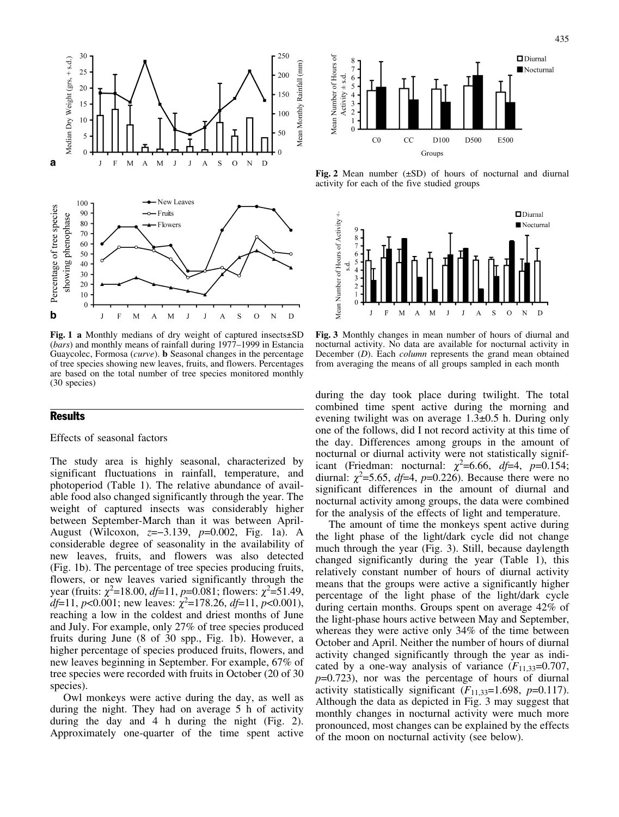

Fig. 1 a Monthly medians of dry weight of captured insects $\pm$ SD (bars) and monthly means of rainfall during 1977–1999 in Estancia Guaycolec, Formosa (curve). b Seasonal changes in the percentage of tree species showing new leaves, fruits, and flowers. Percentages are based on the total number of tree species monitored monthly (30 species)

# **Results**

## Effects of seasonal factors

The study area is highly seasonal, characterized by significant fluctuations in rainfall, temperature, and photoperiod (Table 1). The relative abundance of available food also changed significantly through the year. The weight of captured insects was considerably higher between September-March than it was between April-August (Wilcoxon,  $z=-3.139$ ,  $p=0.002$ , Fig. 1a). A considerable degree of seasonality in the availability of new leaves, fruits, and flowers was also detected (Fig. 1b). The percentage of tree species producing fruits, flowers, or new leaves varied significantly through the year (fruits:  $\chi^2$ =18.00, *df*=11, *p*=0.081; flowers:  $\chi^2$ =51.49, df=11, p<0.001; new leaves:  $\chi^2$ =178.26, df=11, p<0.001), reaching a low in the coldest and driest months of June and July. For example, only 27% of tree species produced fruits during June (8 of 30 spp., Fig. 1b). However, a higher percentage of species produced fruits, flowers, and new leaves beginning in September. For example, 67% of tree species were recorded with fruits in October (20 of 30 species).

Owl monkeys were active during the day, as well as during the night. They had on average 5 h of activity during the day and 4 h during the night (Fig. 2). Approximately one-quarter of the time spent active



Fig. 2 Mean number  $(\pm SD)$  of hours of nocturnal and diurnal activity for each of the five studied groups



Fig. 3 Monthly changes in mean number of hours of diurnal and nocturnal activity. No data are available for nocturnal activity in December (D). Each *column* represents the grand mean obtained from averaging the means of all groups sampled in each month

during the day took place during twilight. The total combined time spent active during the morning and evening twilight was on average  $1.3\pm0.5$  h. During only one of the follows, did I not record activity at this time of the day. Differences among groups in the amount of nocturnal or diurnal activity were not statistically significant (Friedman: nocturnal:  $\chi^2$ =6.66, *df*=4, *p*=0.154; diurnal:  $\chi^2$ =5.65, *df*=4, *p*=0.226). Because there were no significant differences in the amount of diurnal and nocturnal activity among groups, the data were combined for the analysis of the effects of light and temperature.

The amount of time the monkeys spent active during the light phase of the light/dark cycle did not change much through the year (Fig. 3). Still, because daylength changed significantly during the year (Table 1), this relatively constant number of hours of diurnal activity means that the groups were active a significantly higher percentage of the light phase of the light/dark cycle during certain months. Groups spent on average 42% of the light-phase hours active between May and September, whereas they were active only 34% of the time between October and April. Neither the number of hours of diurnal activity changed significantly through the year as indicated by a one-way analysis of variance  $(F_{11,33}=0.707,$  $p=0.723$ ), nor was the percentage of hours of diurnal activity statistically significant  $(F_{11,33}=1.698, p=0.117)$ . Although the data as depicted in Fig. 3 may suggest that monthly changes in nocturnal activity were much more pronounced, most changes can be explained by the effects of the moon on nocturnal activity (see below).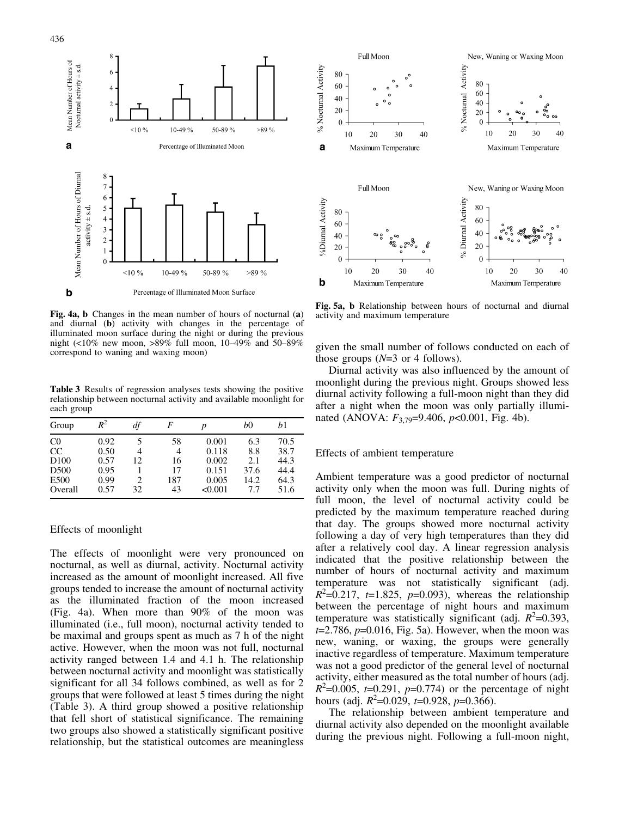

Fig. 4a, b Changes in the mean number of hours of nocturnal (a) and diurnal (b) activity with changes in the percentage of illuminated moon surface during the night or during the previous night (<10% new moon, >89% full moon,  $10-49\%$  and  $50-89\%$ correspond to waning and waxing moon)

Table 3 Results of regression analyses tests showing the positive relationship between nocturnal activity and available moonlight for each group

| Group            | $R^2$ | df  | F   | p       | bO   | b1   |
|------------------|-------|-----|-----|---------|------|------|
| C <sub>0</sub>   | 0.92  |     | 58  | 0.001   | 6.3  | 70.5 |
| CC               | 0.50  | 4   | 4   | 0.118   | 8.8  | 38.7 |
| D <sub>100</sub> | 0.57  | 12  | 16  | 0.002   | 2.1  | 44.3 |
| D <sub>500</sub> | 0.95  |     | 17  | 0.151   | 37.6 | 44.4 |
| E500             | 0.99  | 2   | 187 | 0.005   | 14.2 | 64.3 |
| Overall          | 0.57  | 32. | 43  | < 0.001 | 77   | 51.6 |

### Effects of moonlight

The effects of moonlight were very pronounced on nocturnal, as well as diurnal, activity. Nocturnal activity increased as the amount of moonlight increased. All five groups tended to increase the amount of nocturnal activity as the illuminated fraction of the moon increased (Fig. 4a). When more than 90% of the moon was illuminated (i.e., full moon), nocturnal activity tended to be maximal and groups spent as much as 7 h of the night active. However, when the moon was not full, nocturnal activity ranged between 1.4 and 4.1 h. The relationship between nocturnal activity and moonlight was statistically significant for all 34 follows combined, as well as for 2 groups that were followed at least 5 times during the night (Table 3). A third group showed a positive relationship that fell short of statistical significance. The remaining two groups also showed a statistically significant positive relationship, but the statistical outcomes are meaningless



Fig. 5a, b Relationship between hours of nocturnal and diurnal activity and maximum temperature

given the small number of follows conducted on each of those groups  $(N=3 \text{ or } 4 \text{ follows}).$ 

Diurnal activity was also influenced by the amount of moonlight during the previous night. Groups showed less diurnal activity following a full-moon night than they did after a night when the moon was only partially illuminated (ANOVA:  $F_{3,79}$ =9.406,  $p$ <0.001, Fig. 4b).

## Effects of ambient temperature

Ambient temperature was a good predictor of nocturnal activity only when the moon was full. During nights of full moon, the level of nocturnal activity could be predicted by the maximum temperature reached during that day. The groups showed more nocturnal activity following a day of very high temperatures than they did after a relatively cool day. A linear regression analysis indicated that the positive relationship between the number of hours of nocturnal activity and maximum temperature was not statistically significant (adj.  $R^2 = 0.217$ , t=1.825, p=0.093), whereas the relationship between the percentage of night hours and maximum temperature was statistically significant (adj.  $R^2$ =0.393,  $t=2.786$ ,  $p=0.016$ , Fig. 5a). However, when the moon was new, waning, or waxing, the groups were generally inactive regardless of temperature. Maximum temperature was not a good predictor of the general level of nocturnal activity, either measured as the total number of hours (adj.  $R^2$ =0.005, t=0.291, p=0.774) or the percentage of night hours (adj.  $R^2$ =0.029, *t*=0.928, *p*=0.366).

The relationship between ambient temperature and diurnal activity also depended on the moonlight available during the previous night. Following a full-moon night,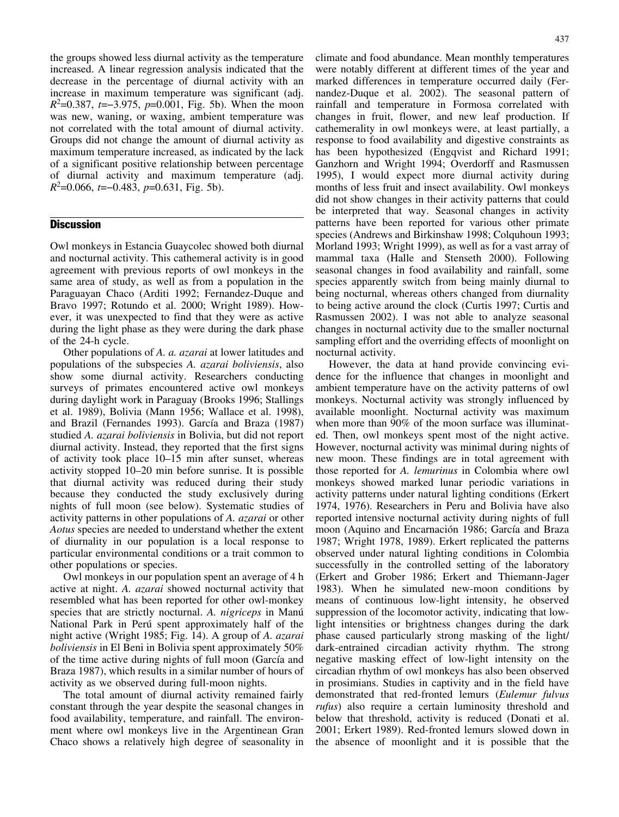the groups showed less diurnal activity as the temperature increased. A linear regression analysis indicated that the decrease in the percentage of diurnal activity with an increase in maximum temperature was significant (adj.  $R^2$ =0.387, t=-3.975, p=0.001, Fig. 5b). When the moon was new, waning, or waxing, ambient temperature was not correlated with the total amount of diurnal activity. Groups did not change the amount of diurnal activity as maximum temperature increased, as indicated by the lack of a significant positive relationship between percentage of diurnal activity and maximum temperature (adj.  $R^2$ =0.066, t=-0.483, p=0.631, Fig. 5b).

# **Discussion**

Owl monkeys in Estancia Guaycolec showed both diurnal and nocturnal activity. This cathemeral activity is in good agreement with previous reports of owl monkeys in the same area of study, as well as from a population in the Paraguayan Chaco (Arditi 1992; Fernandez-Duque and Bravo 1997; Rotundo et al. 2000; Wright 1989). However, it was unexpected to find that they were as active during the light phase as they were during the dark phase of the 24-h cycle.

Other populations of A. a. azarai at lower latitudes and populations of the subspecies A. azarai boliviensis, also show some diurnal activity. Researchers conducting surveys of primates encountered active owl monkeys during daylight work in Paraguay (Brooks 1996; Stallings et al. 1989), Bolivia (Mann 1956; Wallace et al. 1998), and Brazil (Fernandes 1993). García and Braza (1987) studied A. azarai boliviensis in Bolivia, but did not report diurnal activity. Instead, they reported that the first signs of activity took place 10–15 min after sunset, whereas activity stopped 10–20 min before sunrise. It is possible that diurnal activity was reduced during their study because they conducted the study exclusively during nights of full moon (see below). Systematic studies of activity patterns in other populations of A. azarai or other Aotus species are needed to understand whether the extent of diurnality in our population is a local response to particular environmental conditions or a trait common to other populations or species.

Owl monkeys in our population spent an average of 4 h active at night. A. azarai showed nocturnal activity that resembled what has been reported for other owl-monkey species that are strictly nocturnal. A. *nigriceps* in Manú National Park in Perú spent approximately half of the night active (Wright 1985; Fig. 14). A group of A. azarai boliviensis in El Beni in Bolivia spent approximately 50% of the time active during nights of full moon (García and Braza 1987), which results in a similar number of hours of activity as we observed during full-moon nights.

The total amount of diurnal activity remained fairly constant through the year despite the seasonal changes in food availability, temperature, and rainfall. The environment where owl monkeys live in the Argentinean Gran Chaco shows a relatively high degree of seasonality in climate and food abundance. Mean monthly temperatures were notably different at different times of the year and marked differences in temperature occurred daily (Fernandez-Duque et al. 2002). The seasonal pattern of rainfall and temperature in Formosa correlated with changes in fruit, flower, and new leaf production. If cathemerality in owl monkeys were, at least partially, a response to food availability and digestive constraints as has been hypothesized (Engqvist and Richard 1991; Ganzhorn and Wright 1994; Overdorff and Rasmussen 1995), I would expect more diurnal activity during months of less fruit and insect availability. Owl monkeys did not show changes in their activity patterns that could be interpreted that way. Seasonal changes in activity patterns have been reported for various other primate species (Andrews and Birkinshaw 1998; Colquhoun 1993; Morland 1993; Wright 1999), as well as for a vast array of mammal taxa (Halle and Stenseth 2000). Following seasonal changes in food availability and rainfall, some species apparently switch from being mainly diurnal to being nocturnal, whereas others changed from diurnality to being active around the clock (Curtis 1997; Curtis and Rasmussen 2002). I was not able to analyze seasonal changes in nocturnal activity due to the smaller nocturnal sampling effort and the overriding effects of moonlight on nocturnal activity.

However, the data at hand provide convincing evidence for the influence that changes in moonlight and ambient temperature have on the activity patterns of owl monkeys. Nocturnal activity was strongly influenced by available moonlight. Nocturnal activity was maximum when more than 90% of the moon surface was illuminated. Then, owl monkeys spent most of the night active. However, nocturnal activity was minimal during nights of new moon. These findings are in total agreement with those reported for A. lemurinus in Colombia where owl monkeys showed marked lunar periodic variations in activity patterns under natural lighting conditions (Erkert 1974, 1976). Researchers in Peru and Bolivia have also reported intensive nocturnal activity during nights of full moon (Aquino and Encarnación 1986; García and Braza 1987; Wright 1978, 1989). Erkert replicated the patterns observed under natural lighting conditions in Colombia successfully in the controlled setting of the laboratory (Erkert and Grober 1986; Erkert and Thiemann-Jager 1983). When he simulated new-moon conditions by means of continuous low-light intensity, he observed suppression of the locomotor activity, indicating that lowlight intensities or brightness changes during the dark phase caused particularly strong masking of the light/ dark-entrained circadian activity rhythm. The strong negative masking effect of low-light intensity on the circadian rhythm of owl monkeys has also been observed in prosimians. Studies in captivity and in the field have demonstrated that red-fronted lemurs (Eulemur fulvus rufus) also require a certain luminosity threshold and below that threshold, activity is reduced (Donati et al. 2001; Erkert 1989). Red-fronted lemurs slowed down in the absence of moonlight and it is possible that the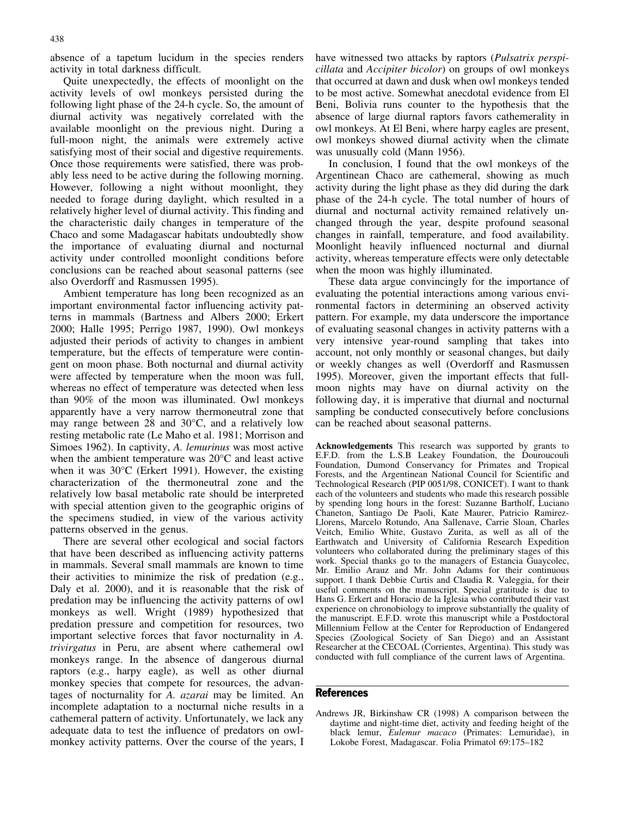absence of a tapetum lucidum in the species renders activity in total darkness difficult.

Quite unexpectedly, the effects of moonlight on the activity levels of owl monkeys persisted during the following light phase of the 24-h cycle. So, the amount of diurnal activity was negatively correlated with the available moonlight on the previous night. During a full-moon night, the animals were extremely active satisfying most of their social and digestive requirements. Once those requirements were satisfied, there was probably less need to be active during the following morning. However, following a night without moonlight, they needed to forage during daylight, which resulted in a relatively higher level of diurnal activity. This finding and the characteristic daily changes in temperature of the Chaco and some Madagascar habitats undoubtedly show the importance of evaluating diurnal and nocturnal activity under controlled moonlight conditions before conclusions can be reached about seasonal patterns (see also Overdorff and Rasmussen 1995).

Ambient temperature has long been recognized as an important environmental factor influencing activity patterns in mammals (Bartness and Albers 2000; Erkert 2000; Halle 1995; Perrigo 1987, 1990). Owl monkeys adjusted their periods of activity to changes in ambient temperature, but the effects of temperature were contingent on moon phase. Both nocturnal and diurnal activity were affected by temperature when the moon was full, whereas no effect of temperature was detected when less than 90% of the moon was illuminated. Owl monkeys apparently have a very narrow thermoneutral zone that may range between  $28$  and  $30^{\circ}$ C, and a relatively low resting metabolic rate (Le Maho et al. 1981; Morrison and Simoes 1962). In captivity, A. lemurinus was most active when the ambient temperature was  $20^{\circ}$ C and least active when it was 30°C (Erkert 1991). However, the existing characterization of the thermoneutral zone and the relatively low basal metabolic rate should be interpreted with special attention given to the geographic origins of the specimens studied, in view of the various activity patterns observed in the genus.

There are several other ecological and social factors that have been described as influencing activity patterns in mammals. Several small mammals are known to time their activities to minimize the risk of predation (e.g., Daly et al. 2000), and it is reasonable that the risk of predation may be influencing the activity patterns of owl monkeys as well. Wright (1989) hypothesized that predation pressure and competition for resources, two important selective forces that favor nocturnality in A. trivirgatus in Peru, are absent where cathemeral owl monkeys range. In the absence of dangerous diurnal raptors (e.g., harpy eagle), as well as other diurnal monkey species that compete for resources, the advantages of nocturnality for A. azarai may be limited. An incomplete adaptation to a nocturnal niche results in a cathemeral pattern of activity. Unfortunately, we lack any adequate data to test the influence of predators on owlmonkey activity patterns. Over the course of the years, I

have witnessed two attacks by raptors (Pulsatrix perspicillata and Accipiter bicolor) on groups of owl monkeys that occurred at dawn and dusk when owl monkeys tended to be most active. Somewhat anecdotal evidence from El Beni, Bolivia runs counter to the hypothesis that the absence of large diurnal raptors favors cathemerality in owl monkeys. At El Beni, where harpy eagles are present, owl monkeys showed diurnal activity when the climate was unusually cold (Mann 1956).

In conclusion, I found that the owl monkeys of the Argentinean Chaco are cathemeral, showing as much activity during the light phase as they did during the dark phase of the 24-h cycle. The total number of hours of diurnal and nocturnal activity remained relatively unchanged through the year, despite profound seasonal changes in rainfall, temperature, and food availability. Moonlight heavily influenced nocturnal and diurnal activity, whereas temperature effects were only detectable when the moon was highly illuminated.

These data argue convincingly for the importance of evaluating the potential interactions among various environmental factors in determining an observed activity pattern. For example, my data underscore the importance of evaluating seasonal changes in activity patterns with a very intensive year-round sampling that takes into account, not only monthly or seasonal changes, but daily or weekly changes as well (Overdorff and Rasmussen 1995). Moreover, given the important effects that fullmoon nights may have on diurnal activity on the following day, it is imperative that diurnal and nocturnal sampling be conducted consecutively before conclusions can be reached about seasonal patterns.

Acknowledgements This research was supported by grants to E.F.D. from the L.S.B Leakey Foundation, the Douroucouli Foundation, Dumond Conservancy for Primates and Tropical Forests, and the Argentinean National Council for Scientific and Technological Research (PIP 0051/98, CONICET). I want to thank each of the volunteers and students who made this research possible by spending long hours in the forest: Suzanne Bartholf, Luciano Chaneton, Santiago De Paoli, Kate Maurer, Patricio Ramirez-Llorens, Marcelo Rotundo, Ana Sallenave, Carrie Sloan, Charles Veitch, Emilio White, Gustavo Zurita, as well as all of the Earthwatch and University of California Research Expedition volunteers who collaborated during the preliminary stages of this work. Special thanks go to the managers of Estancia Guaycolec, Mr. Emilio Arauz and Mr. John Adams for their continuous support. I thank Debbie Curtis and Claudia R. Valeggia, for their useful comments on the manuscript. Special gratitude is due to Hans G. Erkert and Horacio de la Iglesia who contributed their vast experience on chronobiology to improve substantially the quality of the manuscript. E.F.D. wrote this manuscript while a Postdoctoral Millennium Fellow at the Center for Reproduction of Endangered Species (Zoological Society of San Diego) and an Assistant Researcher at the CECOAL (Corrientes, Argentina). This study was conducted with full compliance of the current laws of Argentina.

## References

Andrews JR, Birkinshaw CR (1998) A comparison between the daytime and night-time diet, activity and feeding height of the black lemur, Eulemur macaco (Primates: Lemuridae), in Lokobe Forest, Madagascar. Folia Primatol 69:175–182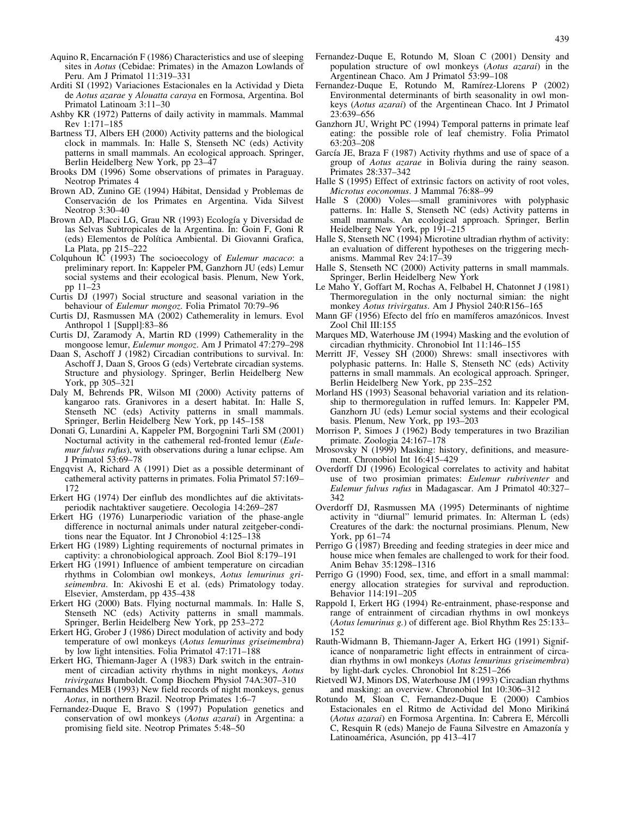- Aquino R, Encarnación F (1986) Characteristics and use of sleeping sites in Aotus (Cebidae: Primates) in the Amazon Lowlands of Peru. Am J Primatol 11:319–331
- Arditi SI (1992) Variaciones Estacionales en la Actividad y Dieta de Aotus azarae y Alouatta caraya en Formosa, Argentina. Bol Primatol Latinoam 3:11–30
- Ashby KR (1972) Patterns of daily activity in mammals. Mammal Rev 1:171–185
- Bartness TJ, Albers EH (2000) Activity patterns and the biological clock in mammals. In: Halle S, Stenseth NC (eds) Activity patterns in small mammals. An ecological approach. Springer, Berlin Heidelberg New York, pp 23–47
- Brooks DM (1996) Some observations of primates in Paraguay. Neotrop Primates 4
- Brown AD, Zunino GE (1994) Hábitat, Densidad y Problemas de Conservación de los Primates en Argentina. Vida Silvest Neotrop 3:30–40
- Brown AD, Placci LG, Grau NR (1993) Ecología y Diversidad de las Selvas Subtropicales de la Argentina. In: Goin F, Goni R (eds) Elementos de Poltica Ambiental. Di Giovanni Grafica, La Plata, pp 215–222
- Colquhoun IC (1993) The socioecology of Eulemur macaco: a preliminary report. In: Kappeler PM, Ganzhorn JU (eds) Lemur social systems and their ecological basis. Plenum, New York, pp 11–23
- Curtis DJ (1997) Social structure and seasonal variation in the behaviour of Eulemur mongoz. Folia Primatol 70:79–96
- Curtis DJ, Rasmussen MA (2002) Cathemerality in lemurs. Evol Anthropol 1 [Suppl]:83–86
- Curtis DJ, Zaramody A, Martin RD (1999) Cathemerality in the mongoose lemur, Eulemur mongoz. Am J Primatol 47:279–298
- Daan S, Aschoff J (1982) Circadian contributions to survival. In: Aschoff J, Daan S, Groos G (eds) Vertebrate circadian systems. Structure and physiology. Springer, Berlin Heidelberg New York, pp 305–321
- Daly M, Behrends PR, Wilson MI (2000) Activity patterns of kangaroo rats. Granivores in a desert habitat. In: Halle S, Stenseth NC (eds) Activity patterns in small mammals. Springer, Berlin Heidelberg New York, pp 145–158
- Donati G, Lunardini A, Kappeler PM, Borgognini Tarli SM (2001) Nocturnal activity in the cathemeral red-fronted lemur (Eulemur fulvus rufus), with observations during a lunar eclipse. Am J Primatol 53:69–78
- Engqvist A, Richard A (1991) Diet as a possible determinant of cathemeral activity patterns in primates. Folia Primatol 57:169– 172
- Erkert HG (1974) Der einflub des mondlichtes auf die aktivitatsperiodik nachtaktiver saugetiere. Oecologia 14:269–287
- Erkert HG (1976) Lunarperiodic variation of the phase-angle difference in nocturnal animals under natural zeitgeber-conditions near the Equator. Int J Chronobiol 4:125–138
- Erkert HG (1989) Lighting requirements of nocturnal primates in captivity: a chronobiological approach. Zool Biol 8:179–191
- Erkert HG (1991) Influence of ambient temperature on circadian rhythms in Colombian owl monkeys, Aotus lemurinus griseimembra. In: Akivoshi E et al. (eds) Primatology today. Elsevier, Amsterdam, pp 435–438
- Erkert HG (2000) Bats. Flying nocturnal mammals. In: Halle S, Stenseth NC (eds) Activity patterns in small mammals. Springer, Berlin Heidelberg New York, pp 253–272
- Erkert HG, Grober J (1986) Direct modulation of activity and body temperature of owl monkeys (Aotus lemurinus griseimembra) by low light intensities. Folia Primatol 47:171–188
- Erkert HG, Thiemann-Jager A (1983) Dark switch in the entrainment of circadian activity rhythms in night monkeys, Aotus trivirgatus Humboldt. Comp Biochem Physiol 74A:307–310
- Fernandes MEB (1993) New field records of night monkeys, genus Aotus, in northern Brazil. Neotrop Primates 1:6–7
- Fernandez-Duque E, Bravo S (1997) Population genetics and conservation of owl monkeys (Aotus azarai) in Argentina: a promising field site. Neotrop Primates 5:48–50
- Fernandez-Duque E, Rotundo M, Sloan C (2001) Density and population structure of owl monkeys (Aotus azarai) in the Argentinean Chaco. Am J Primatol 53:99–108
- Fernandez-Duque E, Rotundo M, Ramírez-Llorens P (2002) Environmental determinants of birth seasonality in owl monkeys (Aotus azarai) of the Argentinean Chaco. Int J Primatol 23:639–656
- Ganzhorn JU, Wright PC (1994) Temporal patterns in primate leaf eating: the possible role of leaf chemistry. Folia Primatol 63:203–208
- García JE, Braza F (1987) Activity rhythms and use of space of a group of Aotus azarae in Bolivia during the rainy season. Primates 28:337–342
- Halle S (1995) Effect of extrinsic factors on activity of root voles, Microtus eoconomus. J Mammal 76:88–99
- Halle S (2000) Voles—small graminivores with polyphasic patterns. In: Halle S, Stenseth NC (eds) Activity patterns in small mammals. An ecological approach. Springer, Berlin Heidelberg New York, pp 191–215
- Halle S, Stenseth NC (1994) Microtine ultradian rhythm of activity: an evaluation of different hypotheses on the triggering mechanisms. Mammal Rev 24:17–39
- Halle S, Stenseth NC (2000) Activity patterns in small mammals. Springer, Berlin Heidelberg New York
- Le Maho Y, Goffart M, Rochas A, Felbabel H, Chatonnet J (1981) Thermoregulation in the only nocturnal simian: the night monkey Aotus trivirgatus. Am J Physiol 240:R156–165
- Mann GF (1956) Efecto del frío en mamíferos amazónicos. Invest Zool Chil III:155
- Marques MD, Waterhouse JM (1994) Masking and the evolution of circadian rhythmicity. Chronobiol Int 11:146–155
- Merritt JF, Vessey SH (2000) Shrews: small insectivores with polyphasic patterns. In: Halle S, Stenseth NC (eds) Activity patterns in small mammals. An ecological approach. Springer, Berlin Heidelberg New York, pp 235–252
- Morland HS (1993) Seasonal behavorial variation and its relationship to thermoregulation in ruffed lemurs. In: Kappeler PM, Ganzhorn JU (eds) Lemur social systems and their ecological basis. Plenum, New York, pp 193–203
- Morrison P, Simoes J (1962) Body temperatures in two Brazilian primate. Zoologia 24:167–178
- Mrosovsky N (1999) Masking: history, definitions, and measurement. Chronobiol Int 16:415–429
- Overdorff DJ (1996) Ecological correlates to activity and habitat use of two prosimian primates: Eulemur rubriventer and Eulemur fulvus rufus in Madagascar. Am J Primatol 40:327– 342
- Overdorff DJ, Rasmussen MA (1995) Determinants of nightime activity in "diurnal" lemurid primates. In: Alterman L (eds) Creatures of the dark: the nocturnal prosimians. Plenum, New York, pp 61–74
- Perrigo G (1987) Breeding and feeding strategies in deer mice and house mice when females are challenged to work for their food. Anim Behav 35:1298–1316
- Perrigo G (1990) Food, sex, time, and effort in a small mammal: energy allocation strategies for survival and reproduction. Behavior 114:191–205
- Rappold I, Erkert HG (1994) Re-entrainment, phase-response and range of entrainment of circadian rhythms in owl monkeys (Aotus lemurinus g.) of different age. Biol Rhythm Res 25:133– 152
- Rauth-Widmann B, Thiemann-Jager A, Erkert HG (1991) Significance of nonparametric light effects in entrainment of circadian rhythms in owl monkeys (Aotus lemurinus griseimembra) by light-dark cycles. Chronobiol Int 8:251–266
- Rietvedl WJ, Minors DS, Waterhouse JM (1993) Circadian rhythms and masking: an overview. Chronobiol Int 10:306–312
- Rotundo M, Sloan C, Fernandez-Duque E (2000) Cambios Estacionales en el Ritmo de Actividad del Mono Mirikin (Aotus azarai) en Formosa Argentina. In: Cabrera E, Mércolli C, Resquin R (eds) Manejo de Fauna Silvestre en Amazonía y Latinoamérica, Asunción, pp 413-417